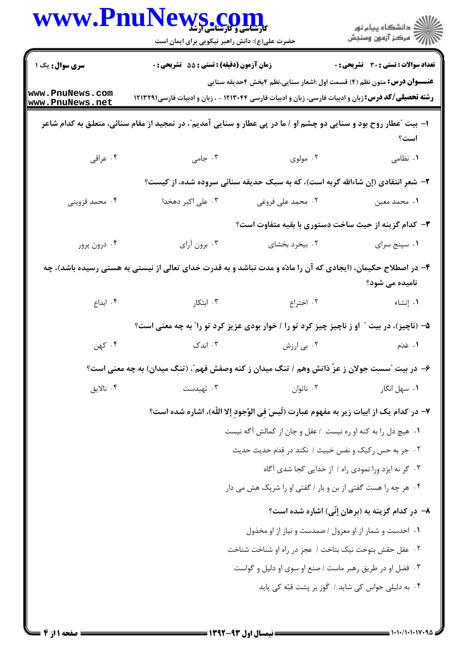| <b>WWW.Pnu</b> l                   | <b>کارشناسی و کارشناسی آرشد</b><br>حضرت علی(ع): دانش راهبر نیکویی برای ایمان است                                  |                                                                                        | ڪ دانشڪاه پيا <sub>م</sub> نور<br>ر <i>7</i> مرڪز آزمون وسنڊش                  |  |  |  |
|------------------------------------|-------------------------------------------------------------------------------------------------------------------|----------------------------------------------------------------------------------------|--------------------------------------------------------------------------------|--|--|--|
| سری سوال: یک ۱                     | <b>زمان آزمون (دقیقه) : تستی : 55 تشریحی : 0</b>                                                                  |                                                                                        | <b>تعداد سوالات : تستي : 30 ٪ تشريحي : 0</b>                                   |  |  |  |
| www.PnuNews.com<br>www.PnuNews.net | <b>رشته تحصیلی/کد درس:</b> زبان و ادبیات فارسی، زبان و ادبیات فارسی ۱۲۱۳۰۴۴ - ، زبان و ادبیات فارسی۱۲۱۳۲۹۱        |                                                                                        | <b>عنــــوان درس:</b> متون نظم (۴) قسمت اول :اشعار سنایی،نظم ۴بخش ۴حدیقه سنایی |  |  |  |
|                                    | ا- بیت "عطار روح بود و سنایی دو چشم او / ما در پی عطار و سنایی آمدیم"، در تمجید از مقام سنائی، متعلق به کدام شاعر |                                                                                        | است؟                                                                           |  |  |  |
| ۰۴ عراقی                           | ۰۳ جامی $\cdot$                                                                                                   | ۰۲ مولوی                                                                               | ۰۱ نظامی                                                                       |  |  |  |
|                                    | ۲- شعر انتقادی (إن شاءالله گربه است)، که به سبک حدیقه سنائی سروده شده، از کیست؟                                   |                                                                                        |                                                                                |  |  |  |
| ۰۴ محمد قزوینی                     | ۰۳ علی اکبر دهخدا                                                                                                 | ۰۲ محمد علی فروغی                                                                      | ٠١ محمد معين                                                                   |  |  |  |
|                                    |                                                                                                                   | ۳- کدام گزینه از حیث ساخت دستوری با بقیه متفاوت است؟                                   |                                                                                |  |  |  |
| ۰۴ درون پرور                       | ۰۳ برون آرای                                                                                                      | ۰۲ بیخرد بخشای                                                                         | ۰۱ سپنج سرای                                                                   |  |  |  |
|                                    | ۴- در اصطلاح حکیمان، (ایجادی که آن را مادّه و مدت نباشد و به قدرت خدای تعالی از نیستی به هستی رسیده باشد)، چه     |                                                                                        | نامیده می شود؟                                                                 |  |  |  |
| ۰۴ ابداع                           | ۰۳ ابتکار                                                                                                         | ۰۲ اختراع                                                                              | ۰۱ إنشاء                                                                       |  |  |  |
|                                    | ۵– (ناچیز)، در بیت ″ او ز ناچیز چیز کرد تو را / خوار بودی عزیز کرد تو را″ به چه معنی است؟                         |                                                                                        |                                                                                |  |  |  |
| ۰۴ کهن                             | ۰۳ اندک                                                                                                           | ۰۲ بی ارزش                                                                             | ۰۱ عَدَم                                                                       |  |  |  |
|                                    | ۶– در بیت آسست جولان ز عزّ ذاتش وهم / تنگ میدان ز کنه وصفش فهم"، (تنگ میدان) به چه معنی است؟                      |                                                                                        |                                                                                |  |  |  |
| ۰۴ نالايق                          | ۰۳ تهیدست                                                                                                         | ۰۲ ناتوان                                                                              | ۰۱ سهل انگار                                                                   |  |  |  |
|                                    |                                                                                                                   | ٧– در كدام يك از ابيات زير به مفهوم عبارت (لَيسَ في الوُجود إلا اللّه)، اشاره شده است؟ |                                                                                |  |  |  |
|                                    |                                                                                                                   | ٠١ هيچ دل را به كنه او ره نيست /عقل و جان از كمالش آگه نيست                            |                                                                                |  |  |  |
|                                    |                                                                                                                   | ۰۲ جز به حس رکیک و نفس خبیث / نکند در قدَم حدیث حدیث                                   |                                                                                |  |  |  |
|                                    |                                                                                                                   |                                                                                        | ۰۳ گر نه ایزد ورا نمودی راه / از خدایی کجا شدی آگاه                            |  |  |  |
|                                    |                                                                                                                   | ۰۴ هر چه را هست گفتی از بن و بار / گفتی او را شریک هش می دار                           |                                                                                |  |  |  |
|                                    |                                                                                                                   |                                                                                        | ۸– در کدام گزینه به (برهان إنّی) اشاره شده است؟                                |  |  |  |
|                                    |                                                                                                                   | ۰۱ احدست و شمار از او معزول / صمدست و نیاز از او مخذول                                 |                                                                                |  |  |  |
|                                    |                                                                                                                   | ٠٢ عقل حقش بتوخت نيک بتاخت / عجز در راه او شناخت شناخت                                 |                                                                                |  |  |  |
|                                    |                                                                                                                   | ۰۳ فضل او در طريق رهبر ماست / صنع او سوى او دليل و گواست                               |                                                                                |  |  |  |
|                                    |                                                                                                                   |                                                                                        | ۰۴ به دلیلی حواس کی شاید / گَوز بر پشت قبّه کی پاید                            |  |  |  |
|                                    |                                                                                                                   |                                                                                        |                                                                                |  |  |  |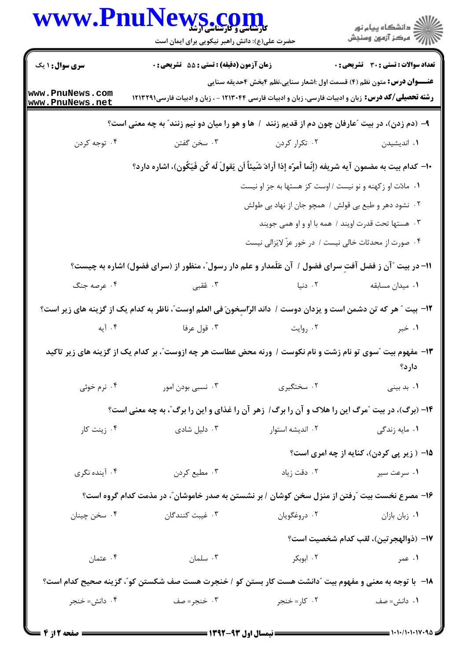|                                    | WWW.PnuNews.com<br>حضرت علی(ع): دانش راهبر نیکویی برای ایمان است                                                  |                                                           | ر دانشگاه پيام نور<br>ا∛هرکز آزمون وسنجش                                                                                                                                                     |
|------------------------------------|-------------------------------------------------------------------------------------------------------------------|-----------------------------------------------------------|----------------------------------------------------------------------------------------------------------------------------------------------------------------------------------------------|
| <b>سری سوال : ۱ یک</b>             | <b>زمان آزمون (دقیقه) : تستی : 55 تشریحی : 0</b>                                                                  |                                                           | <b>تعداد سوالات : تستی : 30 ٪ تشریحی : 0</b>                                                                                                                                                 |
| www.PnuNews.com<br>www.PnuNews.net |                                                                                                                   |                                                           | <b>عنــــوان درس:</b> متون نظم (۴) قسمت اول :اشعار سنایی،نظم ۴بخش ۴حدیقه سنایی<br><b>رشته تحصیلی/کد درس:</b> زبان و ادبیات فارسی، زبان و ادبیات فارسی ۱۲۱۳۰۴۴ - ، زبان و ادبیات فارسی۱۲۱۳۲۹۱ |
|                                    | ۹- (دم زدن)، در بیت "عارفان چون دم از قدیم زنند / ها و هو را میان دو نیم زنند" به چه معنی است؟                    |                                                           |                                                                                                                                                                                              |
| ۰۴ توجه کردن                       | ۰۳ سخن گفتن                                                                                                       | ۰۲ تکرار کردن                                             | ۰۱ اندیشیدن                                                                                                                                                                                  |
|                                    | ∙ا− كدام بيت به مضمون آيه شريفه (إنّما أمرُه إذا أرادَ شَيئاً اَن يَقولَ لَه كُن فَيَكُون)، اشاره دارد؟           |                                                           |                                                                                                                                                                                              |
|                                    |                                                                                                                   | ۰۱ مادّت او زکهنه و نو نیست / اوست کز هستها به جز او نیست |                                                                                                                                                                                              |
|                                    |                                                                                                                   |                                                           | ۰۲ نشود دهر و طبع بی قولش / همچو جان از نهاد بی طولش                                                                                                                                         |
|                                    |                                                                                                                   |                                                           | ۰۳ هستها تحت قدرت اویند / همه با او و او همی جویند                                                                                                                                           |
|                                    |                                                                                                                   |                                                           | ۰۴ صورت از محدثات خالی نیست / در خور عزّ لایَزالی نیست                                                                                                                                       |
|                                    | 11- در بیت "آن ز فضل آفتِ سرای فضول / آن عَلَمدار و علم دار رسول"، منظور از (سرای فضول) اشاره به چیست؟            |                                                           |                                                                                                                                                                                              |
| ۰۴ عرصه جنگ                        |                                                                                                                   | ۲ دنیا می تا سال ۲۰۰۳ و تعیی                              | ٠١ ميدان مسابقه                                                                                                                                                                              |
|                                    | 1۲- بیت " هر که تن دشمن است و یزدان دوست / داند الرّاسِخونَ فی العلم اوست"، ناظر به کدام یک از گزینه های زیر است؟ |                                                           |                                                                                                                                                                                              |
| ۰۴ آیه                             | ۰۳ قول عرفا                                                                                                       | ۰۲ روایت                                                  | ۰۱ خبر                                                                                                                                                                                       |
|                                    | ۱۳- مفهوم بیت آسوی تو نام زشت و نام نکوست / ورنه محض عطاست هر چه ازوست"، بر کدام یک از گزینه های زیر تاکید        |                                                           | دار د؟                                                                                                                                                                                       |
| ۰۴ نرم خوئی                        | ۰۳ نسبی بودن امور                                                                                                 | ۰۲ سختگیری                                                | ۰۱ بد بینی                                                                                                                                                                                   |
|                                    | ۱۴- (برگ)، در بیت "مرگ این را هلاک و آن را برگ/ زهر آن را غذای و این را برگ"، به چه معنی است؟                     |                                                           |                                                                                                                                                                                              |
| ۰۴ زينت کار                        | ۰۳ دلیل شادی                                                                                                      | ۰۱ مایه زندگی مسترار اندیشه استوار                        |                                                                                                                                                                                              |
|                                    |                                                                                                                   |                                                           | 1۵– ( زیر پی کردن)، کنایه از چه امری است؟                                                                                                                                                    |
| ۰۴ آینده نگری                      | ۰۳ مطیع کردن                                                                                                      | ۰۲ دقت زیاد                                               | ۰۱ سرعت سیر                                                                                                                                                                                  |
|                                    | ۱۶– مصرع نخست بیت "رفتن از منزل سخن کوشان / بر نشستن به صدر خاموشان"، در مذمت کدام گروه است؟                      |                                                           |                                                                                                                                                                                              |
| ۰۴ سخن چينان                       | ۰۳ غیبت کنندگان                                                                                                   | ۰۲ دروغگویان                                              | ٠١. زبان بازان                                                                                                                                                                               |
|                                    |                                                                                                                   |                                                           | 17– (ذوالهجرتين)، لقب كدام شخصيت است؟                                                                                                                                                        |
| ۰۴ عثمان                           | ۰۳ سلمان                                                                                                          | ۰۲ ابوبکر                                                 | ۱. عمر                                                                                                                                                                                       |
|                                    | <b>۱۸</b> - با توجه به معنی و مفهوم بیت ″دانشت هست کار بستن کو / خنجرت هست صف شکستن کو″، گزینه صحیح کدام است؟     |                                                           |                                                                                                                                                                                              |
| ۰۴ دانش= خنجر                      | ۰۳ خنجر= صف                                                                                                       | ۰۲ کار=خنجر                                               | ۰۱ دانش= صف                                                                                                                                                                                  |
|                                    |                                                                                                                   |                                                           |                                                                                                                                                                                              |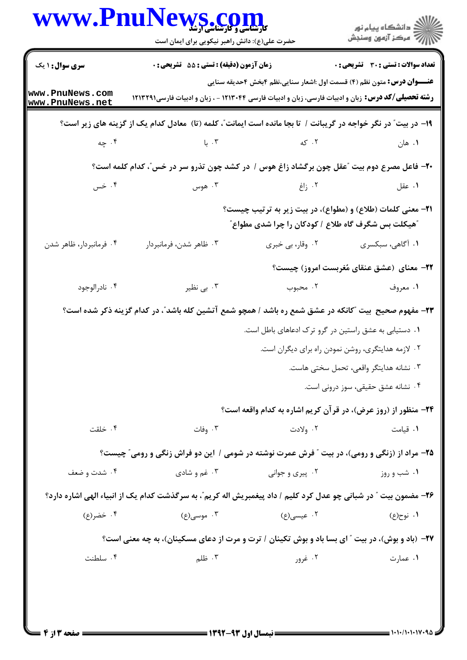|                                    | <b>VS.COM</b><br>حضرت علی(ع): دانش راهبر نیکویی برای ایمان است                                                    |                                                            | الاد دانشگاه پيام نور<br>الا مرکز آزمون وسنجش                                                                                                                                               |
|------------------------------------|-------------------------------------------------------------------------------------------------------------------|------------------------------------------------------------|---------------------------------------------------------------------------------------------------------------------------------------------------------------------------------------------|
| <b>سری سوال : ۱ یک</b>             | <b>زمان آزمون (دقیقه) : تستی : 55 تشریحی : 0</b>                                                                  |                                                            | تعداد سوالات : تستى : 30 - تشريحي : 0                                                                                                                                                       |
| www.PnuNews.com<br>www.PnuNews.net |                                                                                                                   |                                                            | <b>عنـــوان درس:</b> متون نظم (۴) قسمت اول :اشعار سنایی،نظم ۴بخش ۴حدیقه سنایی<br><b>رشته تحصیلی/کد درس:</b> زبان و ادبیات فارسی، زبان و ادبیات فارسی ۱۲۱۳۰۴۴ - ، زبان و ادبیات فارسی۱۲۱۳۲۹۱ |
|                                    | ۱۹- در بیت ؒ در نگر خواجه در گریبانت / تا بجا مانده است ایمانت ؒ، کلمه (تا) ً معادل کدام یک از گزینه های زیر است؟ |                                                            |                                                                                                                                                                                             |
|                                    | ۲. که سال ۲۰۰۳. با سال ۴۰۰ چه                                                                                     |                                                            | ۰۱ هان                                                                                                                                                                                      |
|                                    | ۲۰- فاعل مصرع دوم بیت "عقل چون برگشاد زاغ هوس / در کشد چون تذرو سر در خس"، کدام کلمه است؟                         |                                                            |                                                                                                                                                                                             |
| ۰۴ خس                              | ۰۳ هوس                                                                                                            | ۰۲ زاغ                                                     | ۰۱ عقل                                                                                                                                                                                      |
|                                    |                                                                                                                   | <b>"هیکلت بس شگرف گاه طلاع / کودکان را چرا شدی مطواع</b> " | <b>۲۱- معنی کلمات (طلاع) و (مطواع)، در بیت زیر به ترتیب چیست؟</b>                                                                                                                           |
| ۰۴ فرمانبردار، ظاهر شدن            | ۰۳ ظاهر شدن، فرمانبردار                                                                                           | ۰۲ وقار، بی خبری                                           | ۰۱ آگاهي، سبکسري                                                                                                                                                                            |
|                                    |                                                                                                                   |                                                            | ۲۲- معنای (عشق عنقای مُغربست امروز) چیست؟                                                                                                                                                   |
| ۰۴ نادرالوجود                      | ۰۳ بی نظیر                                                                                                        |                                                            | ١. معروف مستخدم المجبوب                                                                                                                                                                     |
|                                    | ۲۳- مفهوم صحیح ً بیت "کانکه در عشق شمع ره باشد / همچو شمع آتشین کله باشد"، در کدام گزینه ذکر شده است؟             |                                                            |                                                                                                                                                                                             |
|                                    |                                                                                                                   |                                                            | ۰۱ دستیابی به عشق راستین در گرو ترک ادعاهای باطل است.                                                                                                                                       |
|                                    |                                                                                                                   |                                                            | ۰۲ لازمه هدایتگری، روشن نمودن راه برای دیگران است.                                                                                                                                          |
|                                    |                                                                                                                   |                                                            | ۰۳ نشانه هدایتگر واقعی، تحمل سختی هاست.                                                                                                                                                     |
|                                    |                                                                                                                   |                                                            | ۰۴ نشانه عشق حقیقی، سوز درونی است.                                                                                                                                                          |
|                                    |                                                                                                                   |                                                            | <b>34- منظور از (روز عرض)، در قرآن کریم اشاره به کدام واقعه است؟</b>                                                                                                                        |
| ۰۴ خلقت                            | ۰۳ وفات                                                                                                           | ۰۲ ولادت                                                   | ٠١. قيامت                                                                                                                                                                                   |
|                                    | ۲۵- مراد از (زنگی و رومی)، در بیت ″ فرش عمرت نوشته در شومی / این دو فراش زنگی و رومی″ چیست؟                       |                                                            |                                                                                                                                                                                             |
| ۰۴ شدت و ضعف                       | ۰۳ غم و شادي                                                                                                      | ۰۲ پیری و جوانی                                            | ۰۱ شب و روز                                                                                                                                                                                 |
|                                    | ۲۶- مضمون بیت " در شبانی چو عدل کرد کلیم / داد پیغمبریش اله کریم"، به سرگذشت کدام یک از انبیاء الهی اشاره دارد؟   |                                                            |                                                                                                                                                                                             |
| ۰۴ خضر(ع)                          | ۰۳ موسی(ع)                                                                                                        | ۰۲ عیسی(ع)                                                 | ۱. نوح(ع)                                                                                                                                                                                   |
|                                    | <b>۲۷</b> - (باد و بوش)، در بیت " ای بسا باد و بوش تکینان / ترت و مرت از دعای مسکینان)، به چه معنی است؟           |                                                            |                                                                                                                                                                                             |
| ۰۴ سلطنت                           | ۰۳ ظلم                                                                                                            | ۰۲ غرور                                                    | ۰۱ عمارت                                                                                                                                                                                    |

 $= 1.1.11.11V$